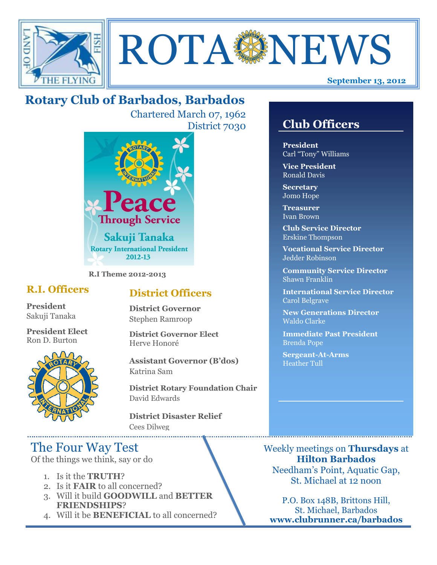



# **Rotary Club of Barbados, Barbados**

Chartered March 07, 1962 District 7030



**R.I Theme 2012-2013**

### **R.I. Officers**

**President**  Sakuji Tanaka

**President Elect** Ron D. Burton



### **District Officers**

**District Governor** Stephen Ramroop

**District Governor Elect** Herve Honoré

**Assistant Governor (B'dos)** Katrina Sam

**District Rotary Foundation Chair** David Edwards

**District Disaster Relief** Cees Dilweg

## The Four Way Test

Of the things we think, say or do

- 1. Is it the **TRUTH**?
- 2. Is it **FAIR** to all concerned?
- 3. Will it build **GOODWILL** and **BETTER FRIENDSHIPS**?
- 4. Will it be **BENEFICIAL** to all concerned?

### **Club Officers**

**Club Officers** 

**President** Carl "Tony" Williams

**Vice President** Ronald Davis

**Secretary** Jomo Hope

**Treasurer** Ivan Brown

**Club Service Director** Erskine Thompson

**Vocational Service Director** Jedder Robinson

**Community Service Director** Shawn Franklin

**International Service Director** Carol Belgrave

**New Generations Director** Waldo Clarke

**Immediate Past President** Brenda Pope

**Sergeant-At-Arms** Heather Tull

Weekly meetings on **Thursdays** at **Hilton Barbados** Needham's Point, Aquatic Gap, St. Michael at 12 noon

P.O. Box 148B, Brittons Hill, St. Michael, Barbados **www.clubrunner.ca/barbados**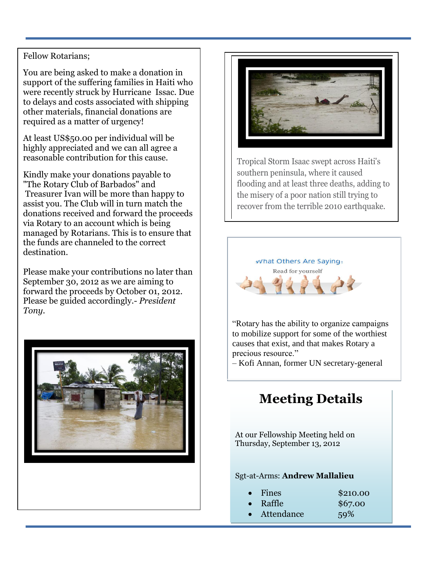#### Fellow Rotarians;

You are being asked to make a donation in support of the suffering families in Haiti who were recently struck by Hurricane Issac. Due to delays and costs associated with shipping other materials, financial donations are required as a matter of urgency!

At least US\$50.00 per individual will be highly appreciated and we can all agree a reasonable contribution for this cause.

Kindly make your donations payable to "The Rotary Club of Barbados" and Treasurer Ivan will be more than happy to assist you. The Club will in turn match the donations received and forward the proceeds via Rotary to an account which is being managed by Rotarians. This is to ensure that the funds are channeled to the correct destination.

Please make your contributions no later than September 30, 2012 as we are aiming to forward the proceeds by October 01, 2012. Please be guided accordingly.- *President Tony.*





Tropical Storm Isaac swept across Haiti's southern peninsula, where it caused flooding and at least three deaths, adding to the misery of a poor nation still trying to recover from the terrible 2010 earthquake.



to mobilize support for some of the worthiest causes that exist, and that makes Rotary a precious resource."

– Kofi Annan, former UN secretary-general

## **Meeting Details**

At our Fellowship Meeting held on Thursday, September 13, 2012

#### Sgt-at-Arms: **Andrew Mallalieu**

- Fines \$210.00
- Raffle \$67.00
- Attendance 59%
-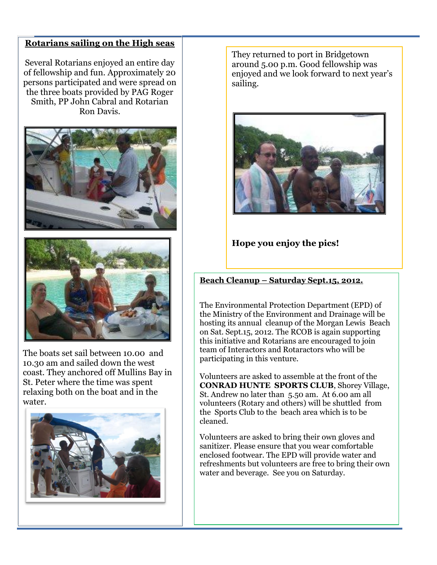#### **Rotarians sailing on the High seas**

Several Rotarians enjoyed an entire day of fellowship and fun. Approximately 20 persons participated and were spread on the three boats provided by PAG Roger Smith, PP John Cabral and Rotarian Ron Davis.





The boats set sail between 10.00 and 10.30 am and sailed down the west coast. They anchored off Mullins Bay in St. Peter where the time was spent relaxing both on the boat and in the water.



They returned to port in Bridgetown around 5.00 p.m. Good fellowship was enjoyed and we look forward to next year's sailing.



### **Hope you enjoy the pics!**

### **Beach Cleanup – Saturday Sept.15, 2012.**

The Environmental Protection Department (EPD) of the Ministry of the Environment and Drainage will be hosting its annual cleanup of the Morgan Lewis Beach on Sat. Sept.15, 2012. The RCOB is again supporting this initiative and Rotarians are encouraged to join team of Interactors and Rotaractors who will be participating in this venture.

Volunteers are asked to assemble at the front of the **CONRAD HUNTE SPORTS CLUB**, Shorey Village, St. Andrew no later than 5.50 am. At 6.00 am all volunteers (Rotary and others) will be shuttled from the Sports Club to the beach area which is to be cleaned.

Volunteers are asked to bring their own gloves and sanitizer. Please ensure that you wear comfortable enclosed footwear. The EPD will provide water and refreshments but volunteers are free to bring their own water and beverage. See you on Saturday.